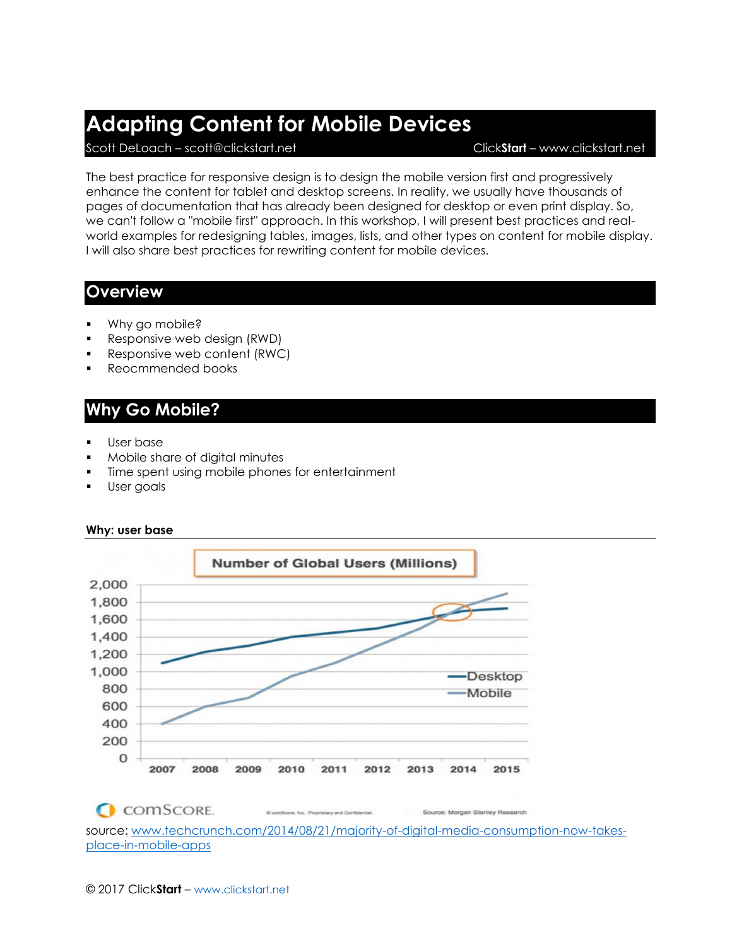## **Adapting Content for Mobile Devices**

Scott DeLoach – scott@clickstart.net Click**Start** – www.clickstart.net

The best practice for responsive design is to design the mobile version first and progressively enhance the content for tablet and desktop screens. In reality, we usually have thousands of pages of documentation that has already been designed for desktop or even print display. So, we can't follow a "mobile first" approach. In this workshop, I will present best practices and realworld examples for redesigning tables, images, lists, and other types on content for mobile display. I will also share best practices for rewriting content for mobile devices.

### **Overview**

- Why go mobile?
- Responsive web design (RWD)
- Responsive web content (RWC)
- Reocmmended books

## **Why Go Mobile?**

- User base
- Mobile share of digital minutes
- Time spent using mobile phones for entertainment
- User goals



#### **Why: user base**

Source: Morgan Stanley Research

source: [www.techcrunch.com/2014/08/21/majority-of-digital-media-consumption-now-takes](http://www.techcrunch.com/2014/08/21/majority-of-digital-media-consumption-now-takes-place-in-mobile-apps)[place-in-mobile-apps](http://www.techcrunch.com/2014/08/21/majority-of-digital-media-consumption-now-takes-place-in-mobile-apps)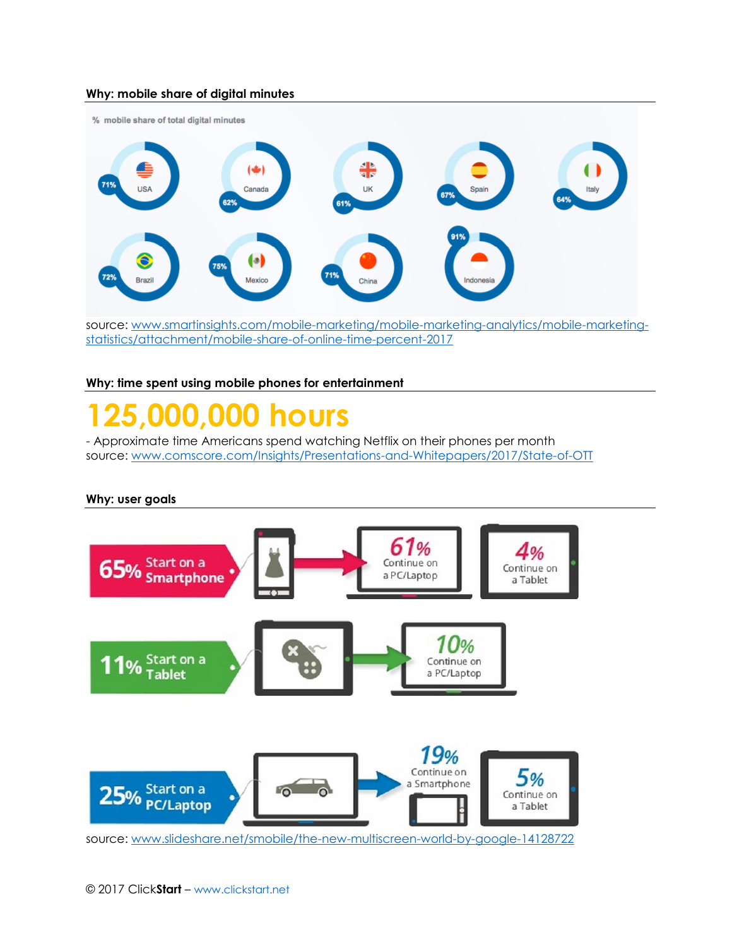#### **Why: mobile share of digital minutes**



source: [www.smartinsights.com/mobile-marketing/mobile-marketing-analytics/mobile-marketing](http://www.smartinsights.com/mobile-marketing/mobile-marketing-analytics/mobile-marketing-statistics/attachment/mobile-share-of-online-time-percent-2017)[statistics/attachment/mobile-share-of-online-time-percent-2017](http://www.smartinsights.com/mobile-marketing/mobile-marketing-analytics/mobile-marketing-statistics/attachment/mobile-share-of-online-time-percent-2017)

#### **Why: time spent using mobile phones for entertainment**

# **125,000,000 hours**

- Approximate time Americans spend watching Netflix on their phones per month source: [www.comscore.com/Insights/Presentations-and-Whitepapers/2017/State-of-OTT](http://www.comscore.com/Insights/Presentations-and-Whitepapers/2017/State-of-OTT)

#### **Why: user goals**

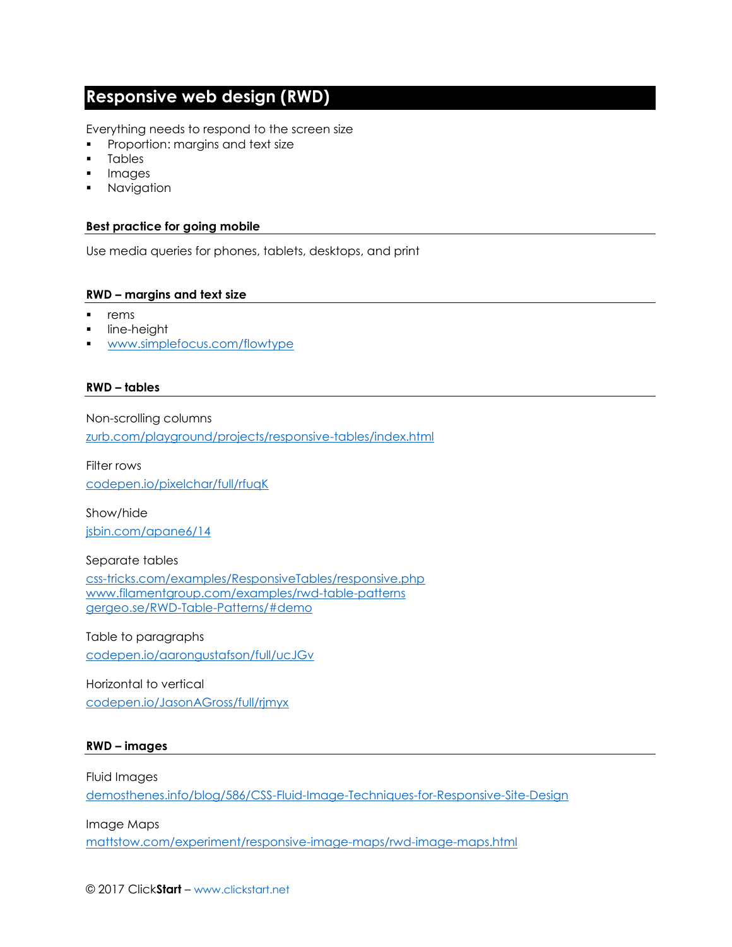## **Responsive web design (RWD)**

Everything needs to respond to the screen size

- Proportion: margins and text size
- Tables
- Images
- **■** Navigation

#### **Best practice for going mobile**

Use media queries for phones, tablets, desktops, and print

#### **RWD – margins and text size**

- rems
- line-height
- [www.simplefocus.com/flowtype](http://www.simplefocus.com/flowtype)

#### **RWD – tables**

Non-scrolling columns

[zurb.com/playground/projects/responsive-tables/index.html](http://zurb.com/playground/projects/responsive-tables/index.html)

Filter rows [codepen.io/pixelchar/full/rfuqK](http://codepen.io/pixelchar/full/rfuqK)

Show/hide [jsbin.com/apane6/14](http://jsbin.com/apane6/14)

#### Separate tables

[css-tricks.com/examples/ResponsiveTables/responsive.php](http://css-tricks.com/examples/ResponsiveTables/responsive.php) [www.filamentgroup.com/examples/rwd-table-patterns](http://www.filamentgroup.com/examples/rwd-table-patterns) [gergeo.se/RWD-Table-Patterns/#demo](http://gergeo.se/RWD-Table-Patterns#demo)

Table to paragraphs [codepen.io/aarongustafson/full/ucJGv](http://codepen.io/aarongustafson/full/ucJGv)

Horizontal to vertical [codepen.io/JasonAGross/full/rjmyx](http://codepen.io/JasonAGross/full/rjmyx)

#### **RWD – images**

Fluid Images [demosthenes.info/blog/586/CSS-Fluid-Image-Techniques-for-Responsive-Site-Design](http://demosthenes.info/blog/586/CSS-Fluid-Image-Techniques-for-Responsive-Site-Design)

Image Maps

[mattstow.com/experiment/responsive-image-maps/rwd-image-maps.html](http://mattstow.com/experiment/responsive-image-maps/rwd-image-maps.html)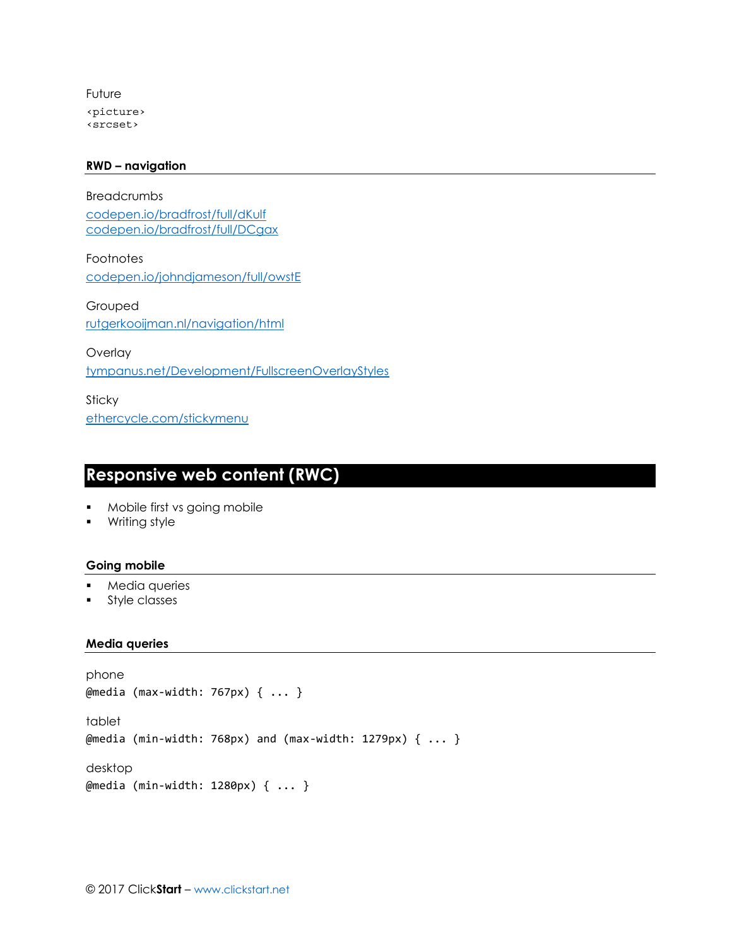Future <picture> <srcset>

#### **RWD – navigation**

Breadcrumbs [codepen.io/bradfrost/full/dKulf](http://codepen.io/bradfrost/full/dKulf) [codepen.io/bradfrost/full/DCgax](http://codepen.io/bradfrost/full/DCgax)

Footnotes [codepen.io/johndjameson/full/owstE](http://codepen.io/johndjameson/full/owstE)

Grouped [rutgerkooijman.nl/navigation/html](http://rutgerkooijman.nl/navigation/html)

**Overlay** 

[tympanus.net/Development/FullscreenOverlayStyles](http://tympanus.net/Development/FullscreenOverlayStyles)

Sticky [ethercycle.com/stickymenu](http://ethercycle.com/stickymenu)

## **Responsive web content (RWC)**

- Mobile first vs going mobile
- Writing style

#### **Going mobile**

- Media queries
- **•** Style classes

#### **Media queries**

```
phone
@media (max-width: 767px) { ... }
tablet
@media (min-width: 768px) and (max-width: 1279px) { ... }
desktop
@media (min-width: 1280px) { ... }
```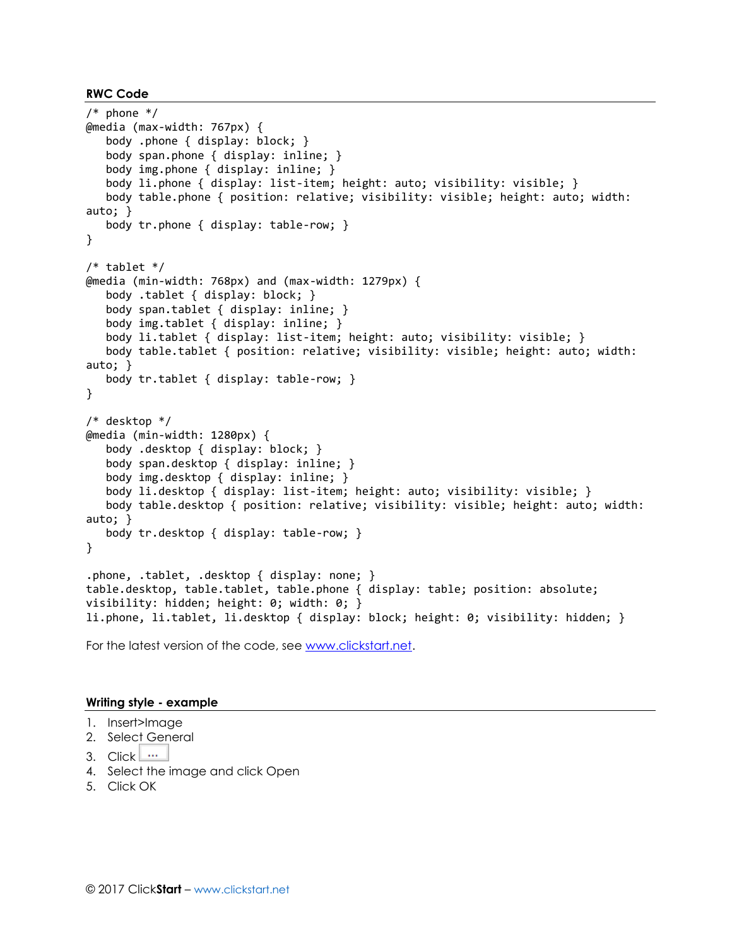```
RWC Code
```

```
/* phone */@media (max-width: 767px) {
    body .phone { display: block; }
    body span.phone { display: inline; }
    body img.phone { display: inline; }
    body li.phone { display: list-item; height: auto; visibility: visible; }
    body table.phone { position: relative; visibility: visible; height: auto; width: 
auto; }
    body tr.phone { display: table-row; }
}
/* tablet */
@media (min-width: 768px) and (max-width: 1279px) {
    body .tablet { display: block; }
    body span.tablet { display: inline; }
    body img.tablet { display: inline; }
    body li.tablet { display: list-item; height: auto; visibility: visible; }
    body table.tablet { position: relative; visibility: visible; height: auto; width: 
auto; }
    body tr.tablet { display: table-row; }
}
/* desktop */
@media (min-width: 1280px) {
    body .desktop { display: block; }
    body span.desktop { display: inline; }
    body img.desktop { display: inline; }
    body li.desktop { display: list-item; height: auto; visibility: visible; }
    body table.desktop { position: relative; visibility: visible; height: auto; width: 
auto; }
    body tr.desktop { display: table-row; }
}
.phone, .tablet, .desktop { display: none; }
table.desktop, table.tablet, table.phone { display: table; position: absolute; 
visibility: hidden; height: 0; width: 0; }
li.phone, li.tablet, li.desktop { display: block; height: 0; visibility: hidden; }
```
For the latest version of the code, see [www.clickstart.net.](http://www.responsivewebcontent.com/)

#### **Writing style - example**

- 1. Insert>Image
- 2. Select General
- 3. Click  $\mathbf{w}$
- 4. Select the image and click Open
- 5. Click OK